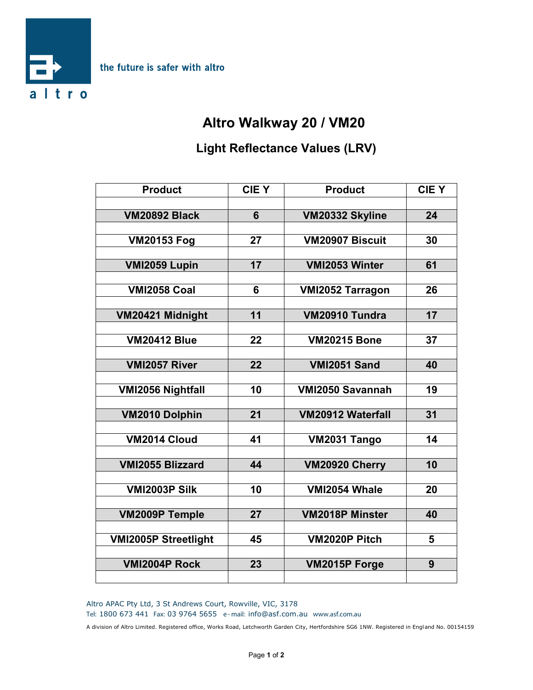

## **Altro Walkway 20 / VM20**

## **Light Reflectance Values (LRV)**

| <b>Product</b>              | <b>CIEY</b>     | <b>Product</b>           | <b>CIEY</b> |
|-----------------------------|-----------------|--------------------------|-------------|
|                             |                 |                          |             |
| <b>VM20892 Black</b>        | 6               | VM20332 Skyline          | 24          |
|                             |                 |                          |             |
| <b>VM20153 Fog</b>          | 27              | VM20907 Biscuit          | 30          |
|                             |                 |                          |             |
| VMI2059 Lupin               | 17              | VMI2053 Winter           | 61          |
| <b>VMI2058 Coal</b>         | 6               | <b>VMI2052 Tarragon</b>  | 26          |
|                             |                 |                          |             |
| VM20421 Midnight            | 11              | VM20910 Tundra           | 17          |
|                             |                 |                          |             |
| <b>VM20412 Blue</b>         | 22              | <b>VM20215 Bone</b>      | 37          |
|                             |                 |                          |             |
| VMI2057 River               | $\overline{22}$ | <b>VMI2051 Sand</b>      | 40          |
|                             |                 |                          |             |
| <b>VMI2056 Nightfall</b>    | 10              | VMI2050 Savannah         | 19          |
|                             |                 |                          |             |
| <b>VM2010 Dolphin</b>       | 21              | <b>VM20912 Waterfall</b> | 31          |
| VM2014 Cloud                | 41              | VM2031 Tango             | 14          |
|                             |                 |                          |             |
| <b>VMI2055 Blizzard</b>     | 44              | VM20920 Cherry           | 10          |
|                             |                 |                          |             |
| <b>VMI2003P Silk</b>        | 10              | VMI2054 Whale            | 20          |
|                             |                 |                          |             |
| <b>VM2009P Temple</b>       | 27              | <b>VM2018P Minster</b>   | 40          |
|                             |                 |                          |             |
| <b>VMI2005P Streetlight</b> | 45              | VM2020P Pitch            | 5           |
|                             |                 |                          |             |
| <b>VMI2004P Rock</b>        | 23              | VM2015P Forge            | 9           |
|                             |                 |                          |             |

Altro APAC Pty Ltd, 3 St Andrews Court, Rowville, VIC, 3178

**Tel:** 1800 673 441 **Fax:** 03 9764 5655 **e - mail:** info@asf.com.au **www.asf.com.au**

A division of Altro Limited. Registered office, Works Road, Letchworth Garden City, Hertfordshire SG6 1NW. Registered in Engl and No. 00154159